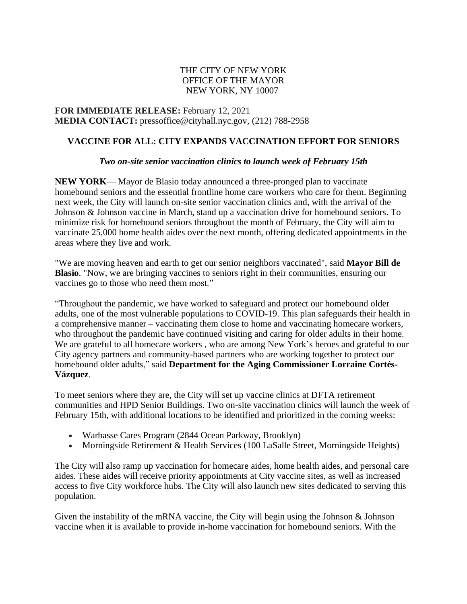## THE CITY OF NEW YORK OFFICE OF THE MAYOR NEW YORK, NY 10007

**FOR IMMEDIATE RELEASE:** February 12, 2021 **MEDIA CONTACT:** [pressoffice@cityhall.nyc.gov,](mailto:pressoffice@cityhall.nyc.gov) (212) 788-2958

## **VACCINE FOR ALL: CITY EXPANDS VACCINATION EFFORT FOR SENIORS**

## *Two on-site senior vaccination clinics to launch week of February 15th*

**NEW YORK**— Mayor de Blasio today announced a three-pronged plan to vaccinate homebound seniors and the essential frontline home care workers who care for them. Beginning next week, the City will launch on-site senior vaccination clinics and, with the arrival of the Johnson & Johnson vaccine in March, stand up a vaccination drive for homebound seniors. To minimize risk for homebound seniors throughout the month of February, the City will aim to vaccinate 25,000 home health aides over the next month, offering dedicated appointments in the areas where they live and work.

"We are moving heaven and earth to get our senior neighbors vaccinated", said **Mayor Bill de Blasio**. "Now, we are bringing vaccines to seniors right in their communities, ensuring our vaccines go to those who need them most."

"Throughout the pandemic, we have worked to safeguard and protect our homebound older adults, one of the most vulnerable populations to COVID-19. This plan safeguards their health in a comprehensive manner – vaccinating them close to home and vaccinating homecare workers, who throughout the pandemic have continued visiting and caring for older adults in their home. We are grateful to all homecare workers, who are among New York's heroes and grateful to our City agency partners and community-based partners who are working together to protect our homebound older adults," said **Department for the Aging Commissioner Lorraine Cortés-Vázquez**.

To meet seniors where they are, the City will set up vaccine clinics at DFTA retirement communities and HPD Senior Buildings. Two on-site vaccination clinics will launch the week of February 15th, with additional locations to be identified and prioritized in the coming weeks:

- Warbasse Cares Program (2844 Ocean Parkway, Brooklyn)
- Morningside Retirement & Health Services (100 LaSalle Street, Morningside Heights)

The City will also ramp up vaccination for homecare aides, home health aides, and personal care aides. These aides will receive priority appointments at City vaccine sites, as well as increased access to five City workforce hubs. The City will also launch new sites dedicated to serving this population.

Given the instability of the mRNA vaccine, the City will begin using the Johnson  $\&$  Johnson vaccine when it is available to provide in-home vaccination for homebound seniors. With the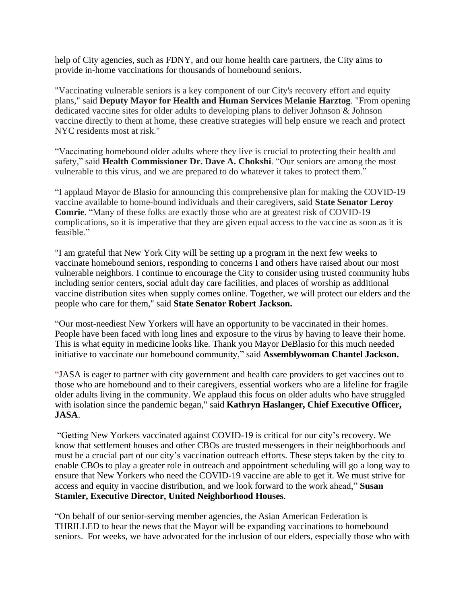help of City agencies, such as FDNY, and our home health care partners, the City aims to provide in-home vaccinations for thousands of homebound seniors.

"Vaccinating vulnerable seniors is a key component of our City's recovery effort and equity plans," said **Deputy Mayor for Health and Human Services Melanie Harztog**. "From opening dedicated vaccine sites for older adults to developing plans to deliver Johnson & Johnson vaccine directly to them at home, these creative strategies will help ensure we reach and protect NYC residents most at risk."

"Vaccinating homebound older adults where they live is crucial to protecting their health and safety," said **Health Commissioner Dr. Dave A. Chokshi**. "Our seniors are among the most vulnerable to this virus, and we are prepared to do whatever it takes to protect them."

"I applaud Mayor de Blasio for announcing this comprehensive plan for making the COVID-19 vaccine available to home-bound individuals and their caregivers, said **State Senator Leroy Comrie**. "Many of these folks are exactly those who are at greatest risk of COVID-19 complications, so it is imperative that they are given equal access to the vaccine as soon as it is feasible."

"I am grateful that New York City will be setting up a program in the next few weeks to vaccinate homebound seniors, responding to concerns I and others have raised about our most vulnerable neighbors. I continue to encourage the City to consider using trusted community hubs including senior centers, social adult day care facilities, and places of worship as additional vaccine distribution sites when supply comes online. Together, we will protect our elders and the people who care for them," said **State Senator Robert Jackson.**

"Our most-neediest New Yorkers will have an opportunity to be vaccinated in their homes. People have been faced with long lines and exposure to the virus by having to leave their home. This is what equity in medicine looks like. Thank you Mayor DeBlasio for this much needed initiative to vaccinate our homebound community," said **Assemblywoman Chantel Jackson.**

"JASA is eager to partner with city government and health care providers to get vaccines out to those who are homebound and to their caregivers, essential workers who are a lifeline for fragile older adults living in the community. We applaud this focus on older adults who have struggled with isolation since the pandemic began," said **Kathryn Haslanger, Chief Executive Officer, JASA**.

"Getting New Yorkers vaccinated against COVID-19 is critical for our city's recovery. We know that settlement houses and other CBOs are trusted messengers in their neighborhoods and must be a crucial part of our city's vaccination outreach efforts. These steps taken by the city to enable CBOs to play a greater role in outreach and appointment scheduling will go a long way to ensure that New Yorkers who need the COVID-19 vaccine are able to get it. We must strive for access and equity in vaccine distribution, and we look forward to the work ahead," **Susan Stamler, Executive Director, United Neighborhood Houses**.

"On behalf of our senior-serving member agencies, the Asian American Federation is THRILLED to hear the news that the Mayor will be expanding vaccinations to homebound seniors. For weeks, we have advocated for the inclusion of our elders, especially those who with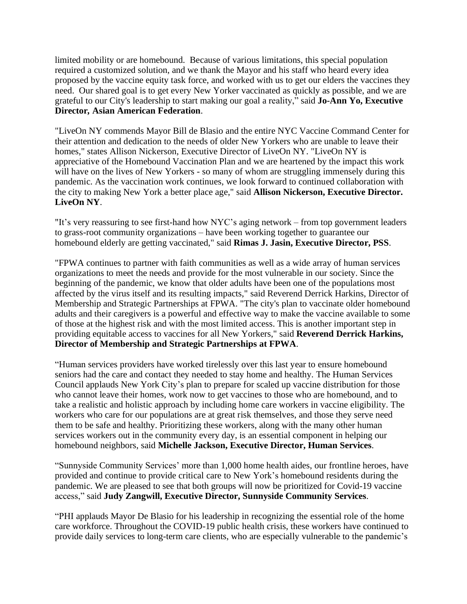limited mobility or are homebound. Because of various limitations, this special population required a customized solution, and we thank the Mayor and his staff who heard every idea proposed by the vaccine equity task force, and worked with us to get our elders the vaccines they need. Our shared goal is to get every New Yorker vaccinated as quickly as possible, and we are grateful to our City's leadership to start making our goal a reality," said **Jo-Ann Yo, Executive Director***,* **Asian American Federation**.

"LiveOn NY commends Mayor Bill de Blasio and the entire NYC Vaccine Command Center for their attention and dedication to the needs of older New Yorkers who are unable to leave their homes," states Allison Nickerson, Executive Director of LiveOn NY. "LiveOn NY is appreciative of the Homebound Vaccination Plan and we are heartened by the impact this work will have on the lives of New Yorkers - so many of whom are struggling immensely during this pandemic. As the vaccination work continues, we look forward to continued collaboration with the city to making New York a better place age," said **Allison Nickerson, Executive Director. LiveOn NY**.

"It's very reassuring to see first-hand how NYC's aging network – from top government leaders to grass-root community organizations – have been working together to guarantee our homebound elderly are getting vaccinated," said **Rimas J. Jasin, Executive Director, PSS**.

"FPWA continues to partner with faith communities as well as a wide array of human services organizations to meet the needs and provide for the most vulnerable in our society. Since the beginning of the pandemic, we know that older adults have been one of the populations most affected by the virus itself and its resulting impacts," said Reverend Derrick Harkins, Director of Membership and Strategic Partnerships at FPWA. "The city's plan to vaccinate older homebound adults and their caregivers is a powerful and effective way to make the vaccine available to some of those at the highest risk and with the most limited access. This is another important step in providing equitable access to vaccines for all New Yorkers," said **Reverend Derrick Harkins, Director of Membership and Strategic Partnerships at FPWA**.

"Human services providers have worked tirelessly over this last year to ensure homebound seniors had the care and contact they needed to stay home and healthy. The Human Services Council applauds New York City's plan to prepare for scaled up vaccine distribution for those who cannot leave their homes, work now to get vaccines to those who are homebound, and to take a realistic and holistic approach by including home care workers in vaccine eligibility. The workers who care for our populations are at great risk themselves, and those they serve need them to be safe and healthy. Prioritizing these workers, along with the many other human services workers out in the community every day, is an essential component in helping our homebound neighbors, said **Michelle Jackson, Executive Director, Human Services**.

"Sunnyside Community Services' more than 1,000 home health aides, our frontline heroes, have provided and continue to provide critical care to New York's homebound residents during the pandemic. We are pleased to see that both groups will now be prioritized for Covid-19 vaccine access," said **Judy Zangwill, Executive Director, Sunnyside Community Services**.

"PHI applauds Mayor De Blasio for his leadership in recognizing the essential role of the home care workforce. Throughout the COVID-19 public health crisis, these workers have continued to provide daily services to long-term care clients, who are especially vulnerable to the pandemic's